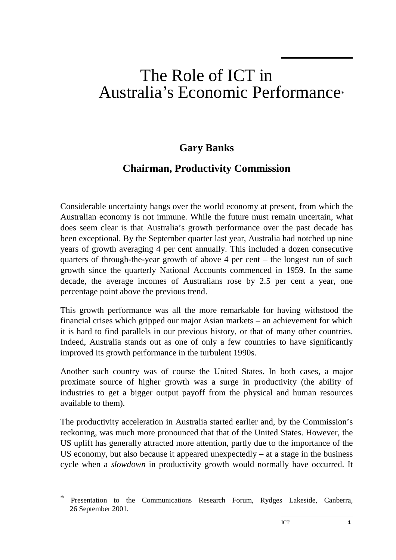# The Role of ICT in Australia's Economic Performance\*

# **Gary Banks**

# **Chairman, Productivity Commission**

Considerable uncertainty hangs over the world economy at present, from which the Australian economy is not immune. While the future must remain uncertain, what does seem clear is that Australia's growth performance over the past decade has been exceptional. By the September quarter last year, Australia had notched up nine years of growth averaging 4 per cent annually. This included a dozen consecutive quarters of through-the-year growth of above 4 per cent – the longest run of such growth since the quarterly National Accounts commenced in 1959. In the same decade, the average incomes of Australians rose by 2.5 per cent a year, one percentage point above the previous trend.

This growth performance was all the more remarkable for having withstood the financial crises which gripped our major Asian markets – an achievement for which it is hard to find parallels in our previous history, or that of many other countries. Indeed, Australia stands out as one of only a few countries to have significantly improved its growth performance in the turbulent 1990s.

Another such country was of course the United States. In both cases, a major proximate source of higher growth was a surge in productivity (the ability of industries to get a bigger output payoff from the physical and human resources available to them).

The productivity acceleration in Australia started earlier and, by the Commission's reckoning, was much more pronounced that that of the United States. However, the US uplift has generally attracted more attention, partly due to the importance of the US economy, but also because it appeared unexpectedly  $-$  at a stage in the business cycle when a *slowdown* in productivity growth would normally have occurred. It

 $\overline{a}$ 

Presentation to the Communications Research Forum, Rydges Lakeside, Canberra, 26 September 2001.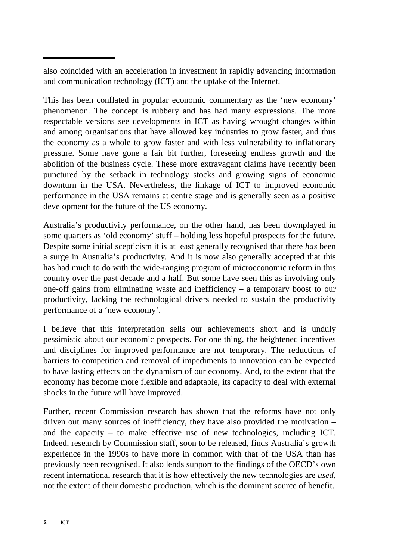also coincided with an acceleration in investment in rapidly advancing information and communication technology (ICT) and the uptake of the Internet.

This has been conflated in popular economic commentary as the 'new economy' phenomenon. The concept is rubbery and has had many expressions. The more respectable versions see developments in ICT as having wrought changes within and among organisations that have allowed key industries to grow faster, and thus the economy as a whole to grow faster and with less vulnerability to inflationary pressure. Some have gone a fair bit further, foreseeing endless growth and the abolition of the business cycle. These more extravagant claims have recently been punctured by the setback in technology stocks and growing signs of economic downturn in the USA. Nevertheless, the linkage of ICT to improved economic performance in the USA remains at centre stage and is generally seen as a positive development for the future of the US economy.

Australia's productivity performance, on the other hand, has been downplayed in some quarters as 'old economy' stuff – holding less hopeful prospects for the future. Despite some initial scepticism it is at least generally recognised that there *has* been a surge in Australia's productivity. And it is now also generally accepted that this has had much to do with the wide-ranging program of microeconomic reform in this country over the past decade and a half. But some have seen this as involving only one-off gains from eliminating waste and inefficiency – a temporary boost to our productivity, lacking the technological drivers needed to sustain the productivity performance of a 'new economy'.

I believe that this interpretation sells our achievements short and is unduly pessimistic about our economic prospects. For one thing, the heightened incentives and disciplines for improved performance are not temporary. The reductions of barriers to competition and removal of impediments to innovation can be expected to have lasting effects on the dynamism of our economy. And, to the extent that the economy has become more flexible and adaptable, its capacity to deal with external shocks in the future will have improved.

Further, recent Commission research has shown that the reforms have not only driven out many sources of inefficiency, they have also provided the motivation – and the capacity – to make effective use of new technologies, including ICT. Indeed, research by Commission staff, soon to be released, finds Australia's growth experience in the 1990s to have more in common with that of the USA than has previously been recognised. It also lends support to the findings of the OECD's own recent international research that it is how effectively the new technologies are *used*, not the extent of their domestic production, which is the dominant source of benefit.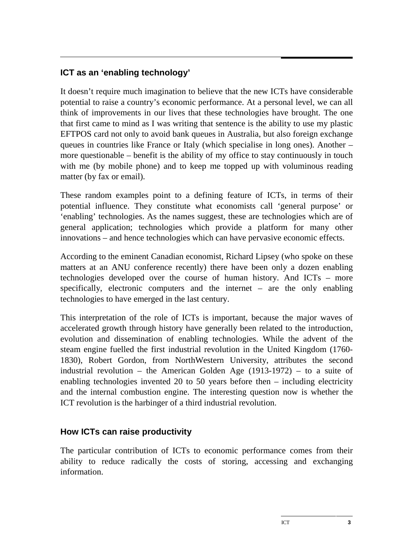# **ICT as an 'enabling technology'**

It doesn't require much imagination to believe that the new ICTs have considerable potential to raise a country's economic performance. At a personal level, we can all think of improvements in our lives that these technologies have brought. The one that first came to mind as I was writing that sentence is the ability to use my plastic EFTPOS card not only to avoid bank queues in Australia, but also foreign exchange queues in countries like France or Italy (which specialise in long ones). Another – more questionable – benefit is the ability of my office to stay continuously in touch with me (by mobile phone) and to keep me topped up with voluminous reading matter (by fax or email).

These random examples point to a defining feature of ICTs, in terms of their potential influence. They constitute what economists call 'general purpose' or 'enabling' technologies. As the names suggest, these are technologies which are of general application; technologies which provide a platform for many other innovations – and hence technologies which can have pervasive economic effects.

According to the eminent Canadian economist, Richard Lipsey (who spoke on these matters at an ANU conference recently) there have been only a dozen enabling technologies developed over the course of human history. And ICTs – more specifically, electronic computers and the internet – are the only enabling technologies to have emerged in the last century.

This interpretation of the role of ICTs is important, because the major waves of accelerated growth through history have generally been related to the introduction, evolution and dissemination of enabling technologies. While the advent of the steam engine fuelled the first industrial revolution in the United Kingdom (1760- 1830), Robert Gordon, from NorthWestern University, attributes the second industrial revolution – the American Golden Age (1913-1972) – to a suite of enabling technologies invented 20 to 50 years before then – including electricity and the internal combustion engine. The interesting question now is whether the ICT revolution is the harbinger of a third industrial revolution.

#### **How ICTs can raise productivity**

The particular contribution of ICTs to economic performance comes from their ability to reduce radically the costs of storing, accessing and exchanging information.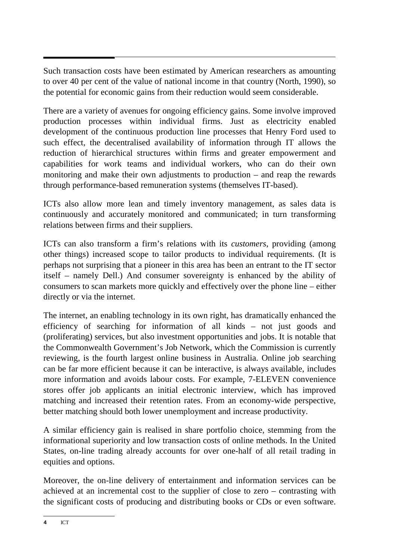Such transaction costs have been estimated by American researchers as amounting to over 40 per cent of the value of national income in that country (North, 1990), so the potential for economic gains from their reduction would seem considerable.

There are a variety of avenues for ongoing efficiency gains. Some involve improved production processes within individual firms. Just as electricity enabled development of the continuous production line processes that Henry Ford used to such effect, the decentralised availability of information through IT allows the reduction of hierarchical structures within firms and greater empowerment and capabilities for work teams and individual workers, who can do their own monitoring and make their own adjustments to production – and reap the rewards through performance-based remuneration systems (themselves IT-based).

ICTs also allow more lean and timely inventory management, as sales data is continuously and accurately monitored and communicated; in turn transforming relations between firms and their suppliers.

ICTs can also transform a firm's relations with its *customers*, providing (among other things) increased scope to tailor products to individual requirements. (It is perhaps not surprising that a pioneer in this area has been an entrant to the IT sector itself – namely Dell.) And consumer sovereignty is enhanced by the ability of consumers to scan markets more quickly and effectively over the phone line – either directly or via the internet.

The internet, an enabling technology in its own right, has dramatically enhanced the efficiency of searching for information of all kinds – not just goods and (proliferating) services, but also investment opportunities and jobs. It is notable that the Commonwealth Government's Job Network, which the Commission is currently reviewing, is the fourth largest online business in Australia. Online job searching can be far more efficient because it can be interactive, is always available, includes more information and avoids labour costs. For example, 7-ELEVEN convenience stores offer job applicants an initial electronic interview, which has improved matching and increased their retention rates. From an economy-wide perspective, better matching should both lower unemployment and increase productivity.

A similar efficiency gain is realised in share portfolio choice, stemming from the informational superiority and low transaction costs of online methods. In the United States, on-line trading already accounts for over one-half of all retail trading in equities and options.

Moreover, the on-line delivery of entertainment and information services can be achieved at an incremental cost to the supplier of close to zero – contrasting with the significant costs of producing and distributing books or CDs or even software.

**<sup>4</sup>** ICT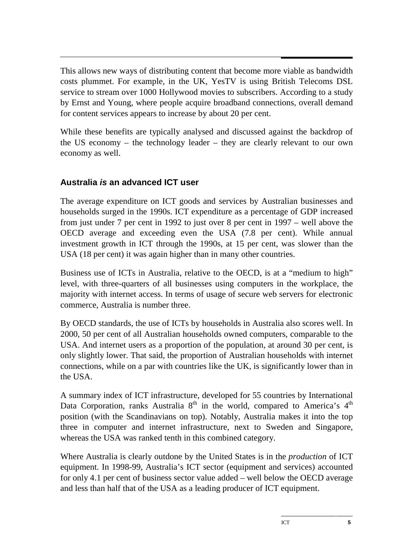This allows new ways of distributing content that become more viable as bandwidth costs plummet. For example, in the UK, YesTV is using British Telecoms DSL service to stream over 1000 Hollywood movies to subscribers. According to a study by Ernst and Young, where people acquire broadband connections, overall demand for content services appears to increase by about 20 per cent.

While these benefits are typically analysed and discussed against the backdrop of the US economy – the technology leader – they are clearly relevant to our own economy as well.

# **Australia is an advanced ICT user**

The average expenditure on ICT goods and services by Australian businesses and households surged in the 1990s. ICT expenditure as a percentage of GDP increased from just under 7 per cent in 1992 to just over 8 per cent in 1997 – well above the OECD average and exceeding even the USA (7.8 per cent). While annual investment growth in ICT through the 1990s, at 15 per cent, was slower than the USA (18 per cent) it was again higher than in many other countries.

Business use of ICTs in Australia, relative to the OECD, is at a "medium to high" level, with three-quarters of all businesses using computers in the workplace, the majority with internet access. In terms of usage of secure web servers for electronic commerce, Australia is number three.

By OECD standards, the use of ICTs by households in Australia also scores well. In 2000, 50 per cent of all Australian households owned computers, comparable to the USA. And internet users as a proportion of the population, at around 30 per cent, is only slightly lower. That said, the proportion of Australian households with internet connections, while on a par with countries like the UK, is significantly lower than in the USA.

A summary index of ICT infrastructure, developed for 55 countries by International Data Corporation, ranks Australia  $8<sup>th</sup>$  in the world, compared to America's  $4<sup>th</sup>$ position (with the Scandinavians on top). Notably, Australia makes it into the top three in computer and internet infrastructure, next to Sweden and Singapore, whereas the USA was ranked tenth in this combined category.

Where Australia is clearly outdone by the United States is in the *production* of ICT equipment. In 1998-99, Australia's ICT sector (equipment and services) accounted for only 4.1 per cent of business sector value added – well below the OECD average and less than half that of the USA as a leading producer of ICT equipment.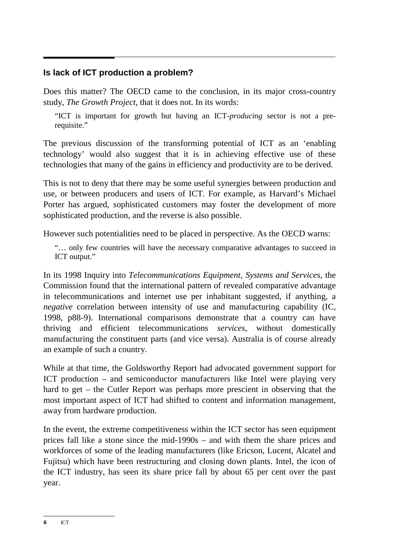#### **Is lack of ICT production a problem?**

Does this matter? The OECD came to the conclusion, in its major cross-country study, *The Growth Project*, that it does not. In its words:

"ICT is important for growth but having an ICT-*producing* sector is not a prerequisite."

The previous discussion of the transforming potential of ICT as an 'enabling technology' would also suggest that it is in achieving effective use of these technologies that many of the gains in efficiency and productivity are to be derived.

This is not to deny that there may be some useful synergies between production and use, or between producers and users of ICT. For example, as Harvard's Michael Porter has argued, sophisticated customers may foster the development of more sophisticated production, and the reverse is also possible.

However such potentialities need to be placed in perspective. As the OECD warns:

"… only few countries will have the necessary comparative advantages to succeed in ICT output."

In its 1998 Inquiry into *Telecommunications Equipment, Systems and Services*, the Commission found that the international pattern of revealed comparative advantage in telecommunications and internet use per inhabitant suggested, if anything, a *negative* correlation between intensity of use and manufacturing capability (IC, 1998, p88-9). International comparisons demonstrate that a country can have thriving and efficient telecommunications *services*, without domestically manufacturing the constituent parts (and vice versa). Australia is of course already an example of such a country.

While at that time, the Goldsworthy Report had advocated government support for ICT production – and semiconductor manufacturers like Intel were playing very hard to get – the Cutler Report was perhaps more prescient in observing that the most important aspect of ICT had shifted to content and information management, away from hardware production.

In the event, the extreme competitiveness within the ICT sector has seen equipment prices fall like a stone since the mid-1990s – and with them the share prices and workforces of some of the leading manufacturers (like Ericson, Lucent, Alcatel and Fujitsu) which have been restructuring and closing down plants. Intel, the icon of the ICT industry, has seen its share price fall by about 65 per cent over the past year.

**<sup>6</sup>** ICT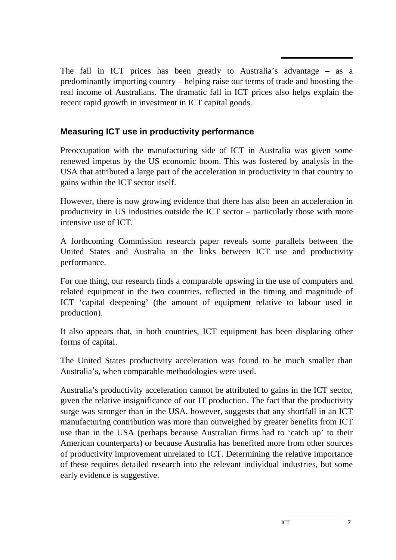The fall in ICT prices has been greatly to Australia's advantage – as a predominantly importing country – helping raise our terms of trade and boosting the real income of Australians. The dramatic fall in ICT prices also helps explain the recent rapid growth in investment in ICT capital goods.

# **Measuring ICT use in productivity performance**

Preoccupation with the manufacturing side of ICT in Australia was given some renewed impetus by the US economic boom. This was fostered by analysis in the USA that attributed a large part of the acceleration in productivity in that country to gains within the ICT sector itself.

However, there is now growing evidence that there has also been an acceleration in productivity in US industries outside the ICT sector – particularly those with more intensive use of ICT.

A forthcoming Commission research paper reveals some parallels between the United States and Australia in the links between ICT use and productivity performance.

For one thing, our research finds a comparable upswing in the use of computers and related equipment in the two countries, reflected in the timing and magnitude of ICT 'capital deepening' (the amount of equipment relative to labour used in production).

It also appears that, in both countries, ICT equipment has been displacing other forms of capital.

The United States productivity acceleration was found to be much smaller than Australia's, when comparable methodologies were used.

Australia's productivity acceleration cannot be attributed to gains in the ICT sector, given the relative insignificance of our IT production. The fact that the productivity surge was stronger than in the USA, however, suggests that any shortfall in an ICT manufacturing contribution was more than outweighed by greater benefits from ICT use than in the USA (perhaps because Australian firms had to 'catch up' to their American counterparts) or because Australia has benefited more from other sources of productivity improvement unrelated to ICT. Determining the relative importance of these requires detailed research into the relevant individual industries, but some early evidence is suggestive.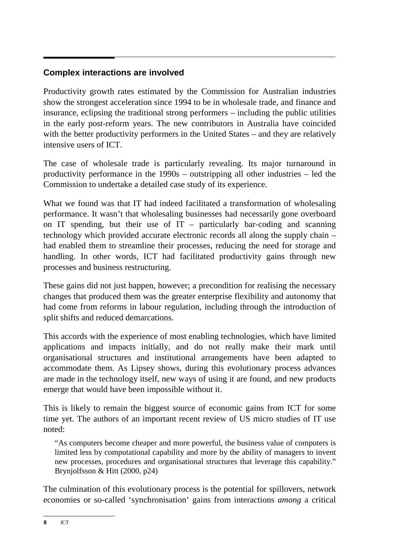# **Complex interactions are involved**

Productivity growth rates estimated by the Commission for Australian industries show the strongest acceleration since 1994 to be in wholesale trade, and finance and insurance, eclipsing the traditional strong performers – including the public utilities in the early post-reform years. The new contributors in Australia have coincided with the better productivity performers in the United States – and they are relatively intensive users of ICT.

The case of wholesale trade is particularly revealing. Its major turnaround in productivity performance in the 1990s – outstripping all other industries – led the Commission to undertake a detailed case study of its experience.

What we found was that IT had indeed facilitated a transformation of wholesaling performance. It wasn't that wholesaling businesses had necessarily gone overboard on IT spending, but their use of  $IT$  – particularly bar-coding and scanning technology which provided accurate electronic records all along the supply chain – had enabled them to streamline their processes, reducing the need for storage and handling. In other words, ICT had facilitated productivity gains through new processes and business restructuring.

These gains did not just happen, however; a precondition for realising the necessary changes that produced them was the greater enterprise flexibility and autonomy that had come from reforms in labour regulation, including through the introduction of split shifts and reduced demarcations.

This accords with the experience of most enabling technologies, which have limited applications and impacts initially, and do not really make their mark until organisational structures and institutional arrangements have been adapted to accommodate them. As Lipsey shows, during this evolutionary process advances are made in the technology itself, new ways of using it are found, and new products emerge that would have been impossible without it.

This is likely to remain the biggest source of economic gains from ICT for some time yet. The authors of an important recent review of US micro studies of IT use noted:

"As computers become cheaper and more powerful, the business value of computers is limited less by computational capability and more by the ability of managers to invent new processes, procedures and organisational structures that leverage this capability." Brynjolfsson & Hitt (2000, p24)

The culmination of this evolutionary process is the potential for spillovers, network economies or so-called 'synchronisation' gains from interactions *among* a critical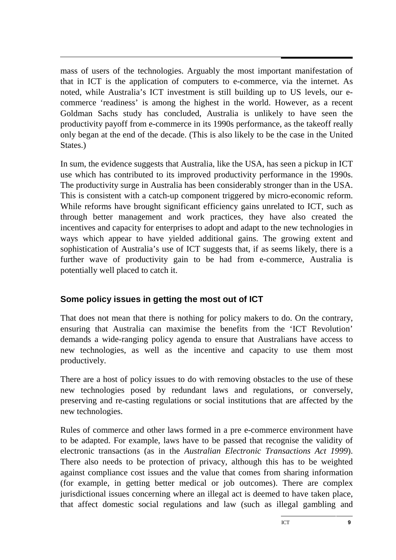mass of users of the technologies. Arguably the most important manifestation of that in ICT is the application of computers to e-commerce, via the internet. As noted, while Australia's ICT investment is still building up to US levels, our ecommerce 'readiness' is among the highest in the world. However, as a recent Goldman Sachs study has concluded, Australia is unlikely to have seen the productivity payoff from e-commerce in its 1990s performance, as the takeoff really only began at the end of the decade. (This is also likely to be the case in the United States.)

In sum, the evidence suggests that Australia, like the USA, has seen a pickup in ICT use which has contributed to its improved productivity performance in the 1990s. The productivity surge in Australia has been considerably stronger than in the USA. This is consistent with a catch-up component triggered by micro-economic reform. While reforms have brought significant efficiency gains unrelated to ICT, such as through better management and work practices, they have also created the incentives and capacity for enterprises to adopt and adapt to the new technologies in ways which appear to have yielded additional gains. The growing extent and sophistication of Australia's use of ICT suggests that, if as seems likely, there is a further wave of productivity gain to be had from e-commerce, Australia is potentially well placed to catch it.

# **Some policy issues in getting the most out of ICT**

That does not mean that there is nothing for policy makers to do. On the contrary, ensuring that Australia can maximise the benefits from the 'ICT Revolution' demands a wide-ranging policy agenda to ensure that Australians have access to new technologies, as well as the incentive and capacity to use them most productively.

There are a host of policy issues to do with removing obstacles to the use of these new technologies posed by redundant laws and regulations, or conversely, preserving and re-casting regulations or social institutions that are affected by the new technologies.

Rules of commerce and other laws formed in a pre e-commerce environment have to be adapted. For example, laws have to be passed that recognise the validity of electronic transactions (as in the *Australian Electronic Transactions Act 1999*). There also needs to be protection of privacy, although this has to be weighted against compliance cost issues and the value that comes from sharing information (for example, in getting better medical or job outcomes). There are complex jurisdictional issues concerning where an illegal act is deemed to have taken place, that affect domestic social regulations and law (such as illegal gambling and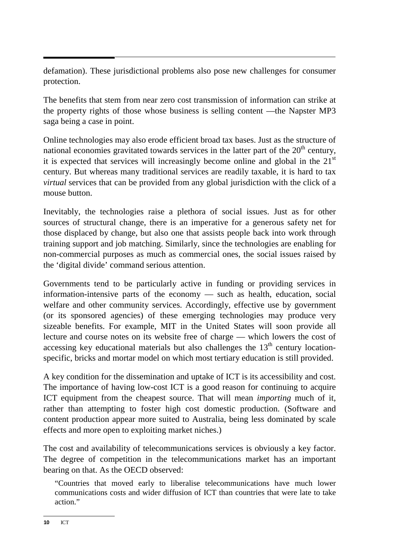defamation). These jurisdictional problems also pose new challenges for consumer protection.

The benefits that stem from near zero cost transmission of information can strike at the property rights of those whose business is selling content —the Napster MP3 saga being a case in point.

Online technologies may also erode efficient broad tax bases. Just as the structure of national economies gravitated towards services in the latter part of the  $20<sup>th</sup>$  century, it is expected that services will increasingly become online and global in the  $21<sup>st</sup>$ century. But whereas many traditional services are readily taxable, it is hard to tax *virtual* services that can be provided from any global jurisdiction with the click of a mouse button.

Inevitably, the technologies raise a plethora of social issues. Just as for other sources of structural change, there is an imperative for a generous safety net for those displaced by change, but also one that assists people back into work through training support and job matching. Similarly, since the technologies are enabling for non-commercial purposes as much as commercial ones, the social issues raised by the 'digital divide' command serious attention.

Governments tend to be particularly active in funding or providing services in information-intensive parts of the economy — such as health, education, social welfare and other community services. Accordingly, effective use by government (or its sponsored agencies) of these emerging technologies may produce very sizeable benefits. For example, MIT in the United States will soon provide all lecture and course notes on its website free of charge — which lowers the cost of accessing key educational materials but also challenges the  $13<sup>th</sup>$  century locationspecific, bricks and mortar model on which most tertiary education is still provided.

A key condition for the dissemination and uptake of ICT is its accessibility and cost. The importance of having low-cost ICT is a good reason for continuing to acquire ICT equipment from the cheapest source. That will mean *importing* much of it, rather than attempting to foster high cost domestic production. (Software and content production appear more suited to Australia, being less dominated by scale effects and more open to exploiting market niches.)

The cost and availability of telecommunications services is obviously a key factor. The degree of competition in the telecommunications market has an important bearing on that. As the OECD observed:

"Countries that moved early to liberalise telecommunications have much lower communications costs and wider diffusion of ICT than countries that were late to take action."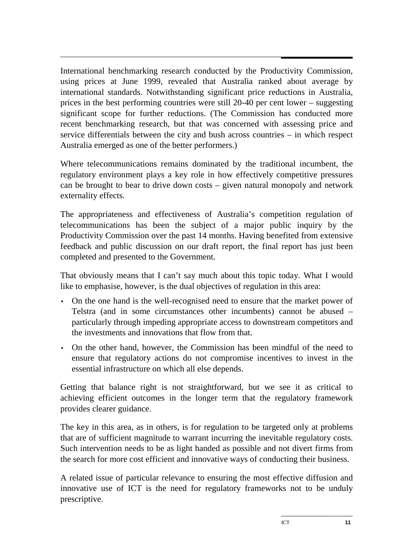International benchmarking research conducted by the Productivity Commission, using prices at June 1999, revealed that Australia ranked about average by international standards. Notwithstanding significant price reductions in Australia, prices in the best performing countries were still 20-40 per cent lower – suggesting significant scope for further reductions. (The Commission has conducted more recent benchmarking research, but that was concerned with assessing price and service differentials between the city and bush across countries – in which respect Australia emerged as one of the better performers.)

Where telecommunications remains dominated by the traditional incumbent, the regulatory environment plays a key role in how effectively competitive pressures can be brought to bear to drive down costs – given natural monopoly and network externality effects.

The appropriateness and effectiveness of Australia's competition regulation of telecommunications has been the subject of a major public inquiry by the Productivity Commission over the past 14 months. Having benefited from extensive feedback and public discussion on our draft report, the final report has just been completed and presented to the Government.

That obviously means that I can't say much about this topic today. What I would like to emphasise, however, is the dual objectives of regulation in this area:

- On the one hand is the well-recognised need to ensure that the market power of Telstra (and in some circumstances other incumbents) cannot be abused – particularly through impeding appropriate access to downstream competitors and the investments and innovations that flow from that.
- On the other hand, however, the Commission has been mindful of the need to ensure that regulatory actions do not compromise incentives to invest in the essential infrastructure on which all else depends.

Getting that balance right is not straightforward, but we see it as critical to achieving efficient outcomes in the longer term that the regulatory framework provides clearer guidance.

The key in this area, as in others, is for regulation to be targeted only at problems that are of sufficient magnitude to warrant incurring the inevitable regulatory costs. Such intervention needs to be as light handed as possible and not divert firms from the search for more cost efficient and innovative ways of conducting their business.

A related issue of particular relevance to ensuring the most effective diffusion and innovative use of ICT is the need for regulatory frameworks not to be unduly prescriptive.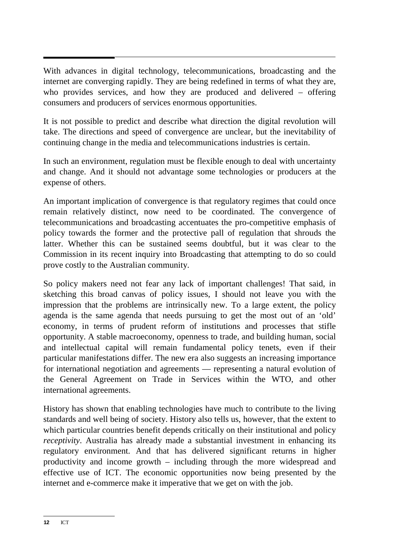With advances in digital technology, telecommunications, broadcasting and the internet are converging rapidly. They are being redefined in terms of what they are, who provides services, and how they are produced and delivered – offering consumers and producers of services enormous opportunities.

It is not possible to predict and describe what direction the digital revolution will take. The directions and speed of convergence are unclear, but the inevitability of continuing change in the media and telecommunications industries is certain.

In such an environment, regulation must be flexible enough to deal with uncertainty and change. And it should not advantage some technologies or producers at the expense of others.

An important implication of convergence is that regulatory regimes that could once remain relatively distinct, now need to be coordinated. The convergence of telecommunications and broadcasting accentuates the pro-competitive emphasis of policy towards the former and the protective pall of regulation that shrouds the latter. Whether this can be sustained seems doubtful, but it was clear to the Commission in its recent inquiry into Broadcasting that attempting to do so could prove costly to the Australian community.

So policy makers need not fear any lack of important challenges! That said, in sketching this broad canvas of policy issues, I should not leave you with the impression that the problems are intrinsically new. To a large extent, the policy agenda is the same agenda that needs pursuing to get the most out of an 'old' economy, in terms of prudent reform of institutions and processes that stifle opportunity. A stable macroeconomy, openness to trade, and building human, social and intellectual capital will remain fundamental policy tenets, even if their particular manifestations differ. The new era also suggests an increasing importance for international negotiation and agreements — representing a natural evolution of the General Agreement on Trade in Services within the WTO, and other international agreements.

History has shown that enabling technologies have much to contribute to the living standards and well being of society. History also tells us, however, that the extent to which particular countries benefit depends critically on their institutional and policy *receptivity*. Australia has already made a substantial investment in enhancing its regulatory environment. And that has delivered significant returns in higher productivity and income growth – including through the more widespread and effective use of ICT. The economic opportunities now being presented by the internet and e-commerce make it imperative that we get on with the job.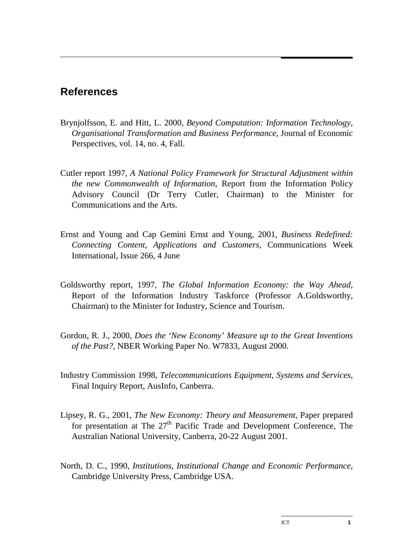# **References**

- Brynjolfsson, E. and Hitt, L. 2000, *Beyond Computation: Information Technology, Organisational Transformation and Business Performance*, Journal of Economic Perspectives, vol. 14, no. 4, Fall.
- Cutler report 1997, *A National Policy Framework for Structural Adjustment within the new Commonwealth of Information*, Report from the Information Policy Advisory Council (Dr Terry Cutler, Chairman) to the Minister for Communications and the Arts.
- Ernst and Young and Cap Gemini Ernst and Young, 2001, *Business Redefined: Connecting Content, Applications and Customers*, Communications Week International, Issue 266, 4 June
- Goldsworthy report, 1997, *The Global Information Economy: the Way Ahead*, Report of the Information Industry Taskforce (Professor A.Goldsworthy, Chairman) to the Minister for Industry, Science and Tourism.
- Gordon, R. J., 2000, *Does the 'New Economy' Measure up to the Great Inventions of the Past?*, NBER Working Paper No. W7833, August 2000.
- Industry Commission 1998, *Telecommunications Equipment, Systems and Services*, Final Inquiry Report, AusInfo, Canberra.
- Lipsey, R. G., 2001, *The New Economy: Theory and Measurement,* Paper prepared for presentation at The  $27<sup>th</sup>$  Pacific Trade and Development Conference, The Australian National University, Canberra, 20-22 August 2001.
- North, D. C., 1990, *Institutions, Institutional Change and Economic Performance,* Cambridge University Press, Cambridge USA.